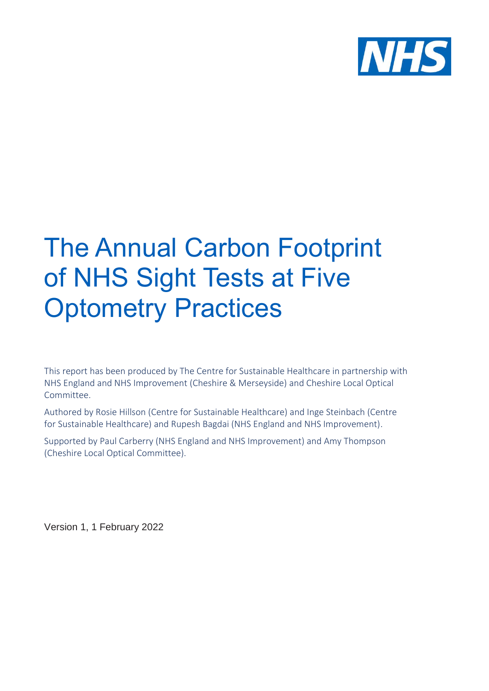

# The Annual Carbon Footprint of NHS Sight Tests at Five **Optometry Practices**

This report has been produced by The Centre for Sustainable Healthcare in partnership with NHS England and NHS Improvement (Cheshire & Merseyside) and Cheshire Local Optical Committee.

Authored by Rosie Hillson (Centre for Sustainable Healthcare) and Inge Steinbach (Centre for Sustainable Healthcare) and Rupesh Bagdai (NHS England and NHS Improvement).

Supported by Paul Carberry (NHS England and NHS Improvement) and Amy Thompson (Cheshire Local Optical Committee).

Version 1, 1 February 2022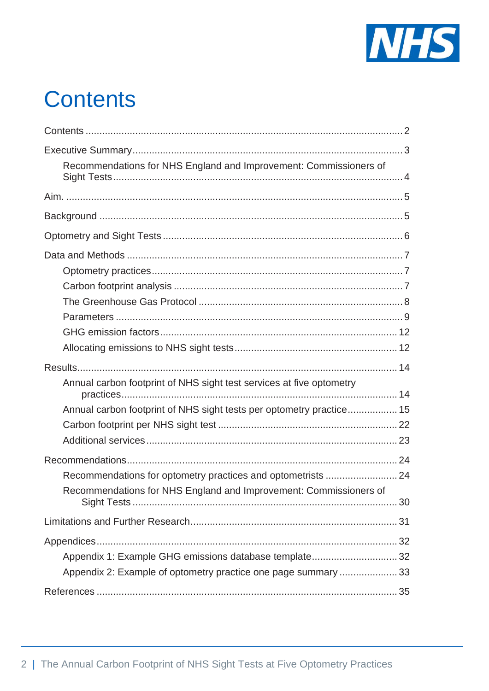

# <span id="page-1-0"></span>**Contents**

| Recommendations for NHS England and Improvement: Commissioners of    |  |
|----------------------------------------------------------------------|--|
|                                                                      |  |
|                                                                      |  |
|                                                                      |  |
|                                                                      |  |
|                                                                      |  |
|                                                                      |  |
|                                                                      |  |
|                                                                      |  |
|                                                                      |  |
|                                                                      |  |
|                                                                      |  |
| Annual carbon footprint of NHS sight test services at five optometry |  |
| Annual carbon footprint of NHS sight tests per optometry practice 15 |  |
|                                                                      |  |
|                                                                      |  |
|                                                                      |  |
| Recommendations for optometry practices and optometrists  24         |  |
| Recommendations for NHS England and Improvement: Commissioners of    |  |
|                                                                      |  |
|                                                                      |  |
| Appendix 1: Example GHG emissions database template 32               |  |
| Appendix 2: Example of optometry practice one page summary 33        |  |
|                                                                      |  |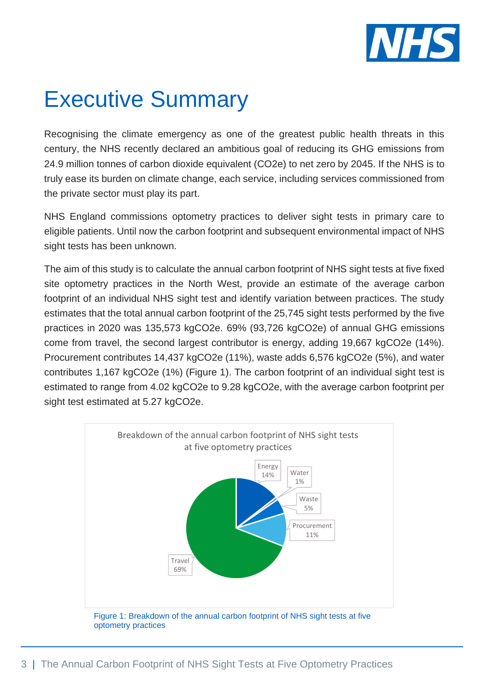

# <span id="page-2-0"></span>Executive Summary

Recognising the climate emergency as one of the greatest public health threats in this century, the NHS recently declared an ambitious goal of reducing its GHG emissions from 24.9 million tonnes of carbon dioxide equivalent (CO2e) to net zero by 2045. If the NHS is to truly ease its burden on climate change, each service, including services commissioned from the private sector must play its part.

NHS England commissions optometry practices to deliver sight tests in primary care to eligible patients. Until now the carbon footprint and subsequent environmental impact of NHS sight tests has been unknown.

The aim of this study is to calculate the annual carbon footprint of NHS sight tests at five fixed site optometry practices in the North West, provide an estimate of the average carbon footprint of an individual NHS sight test and identify variation between practices. The study estimates that the total annual carbon footprint of the 25,745 sight tests performed by the five practices in 2020 was 135,573 kgCO2e. 69% (93,726 kgCO2e) of annual GHG emissions come from travel, the second largest contributor is energy, adding 19,667 kgCO2e (14%). Procurement contributes 14,437 kgCO2e (11%), waste adds 6,576 kgCO2e (5%), and water contributes 1,167 kgCO2e (1%) (Figure 1). The carbon footprint of an individual sight test is estimated to range from 4.02 kgCO2e to 9.28 kgCO2e, with the average carbon footprint per sight test estimated at 5.27 kgCO2e.

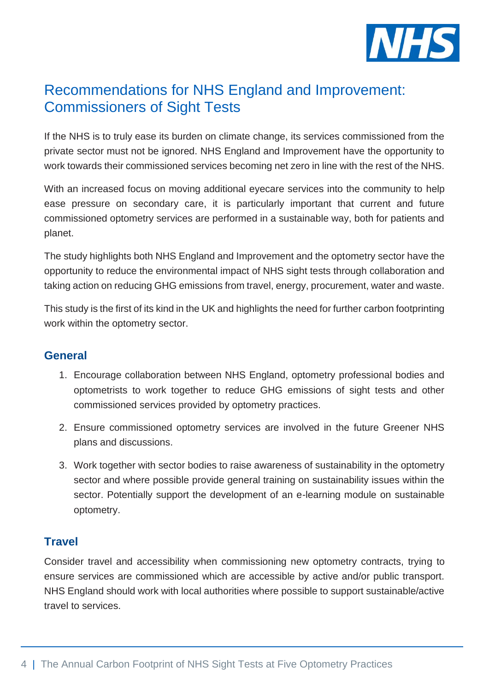

# <span id="page-3-0"></span>Recommendations for NHS England and Improvement: Commissioners of Sight Tests

If the NHS is to truly ease its burden on climate change, its services commissioned from the private sector must not be ignored. NHS England and Improvement have the opportunity to work towards their commissioned services becoming net zero in line with the rest of the NHS.

With an increased focus on moving additional eyecare services into the community to help ease pressure on secondary care, it is particularly important that current and future commissioned optometry services are performed in a sustainable way, both for patients and planet.

The study highlights both NHS England and Improvement and the optometry sector have the opportunity to reduce the environmental impact of NHS sight tests through collaboration and taking action on reducing GHG emissions from travel, energy, procurement, water and waste.

This study is the first of its kind in the UK and highlights the need for further carbon footprinting work within the optometry sector.

### **General**

- 1. Encourage collaboration between NHS England, optometry professional bodies and optometrists to work together to reduce GHG emissions of sight tests and other commissioned services provided by optometry practices.
- 2. Ensure commissioned optometry services are involved in the future Greener NHS plans and discussions.
- 3. Work together with sector bodies to raise awareness of sustainability in the optometry sector and where possible provide general training on sustainability issues within the sector. Potentially support the development of an e-learning module on sustainable optometry.

## **Travel**

Consider travel and accessibility when commissioning new optometry contracts, trying to ensure services are commissioned which are accessible by active and/or public transport. NHS England should work with local authorities where possible to support sustainable/active travel to services.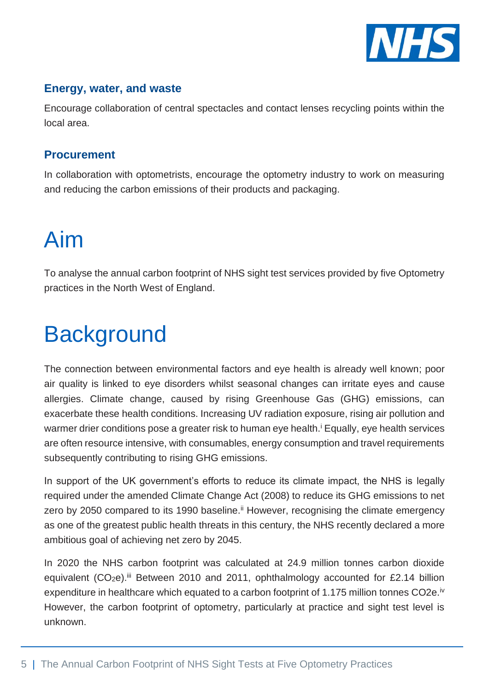

## **Energy, water, and waste**

Encourage collaboration of central spectacles and contact lenses recycling points within the local area.

## **Procurement**

In collaboration with optometrists, encourage the optometry industry to work on measuring and reducing the carbon emissions of their products and packaging.

# <span id="page-4-0"></span>Aim

To analyse the annual carbon footprint of NHS sight test services provided by five Optometry practices in the North West of England.

# <span id="page-4-1"></span>**Background**

The connection between environmental factors and eye health is already well known; poor air quality is linked to eye disorders whilst seasonal changes can irritate eyes and cause allergies. Climate change, caused by rising Greenhouse Gas (GHG) emissions, can exacerbate these health conditions. Increasing UV radiation exposure, rising air pollution and warmer drier conditions pose a greater risk to human eye health.<sup>i</sup> Equally, eye health services are often resource intensive, with consumables, energy consumption and travel requirements subsequently contributing to rising GHG emissions.

In support of the UK government's efforts to reduce its climate impact, the NHS is legally required under the amended Climate Change Act (2008) to reduce its GHG emissions to net zero by 2050 compared to its 1990 baseline.<sup>ii</sup> However, recognising the climate emergency as one of the greatest public health threats in this century, the NHS recently declared a more ambitious goal of achieving net zero by 2045.

In 2020 the NHS carbon footprint was calculated at 24.9 million tonnes carbon dioxide equivalent (CO<sub>2</sub>e).<sup>iii</sup> Between 2010 and 2011, ophthalmology accounted for £2.14 billion expenditure in healthcare which equated to a carbon footprint of 1.175 million tonnes CO2e.<sup>iv</sup> However, the carbon footprint of optometry, particularly at practice and sight test level is unknown.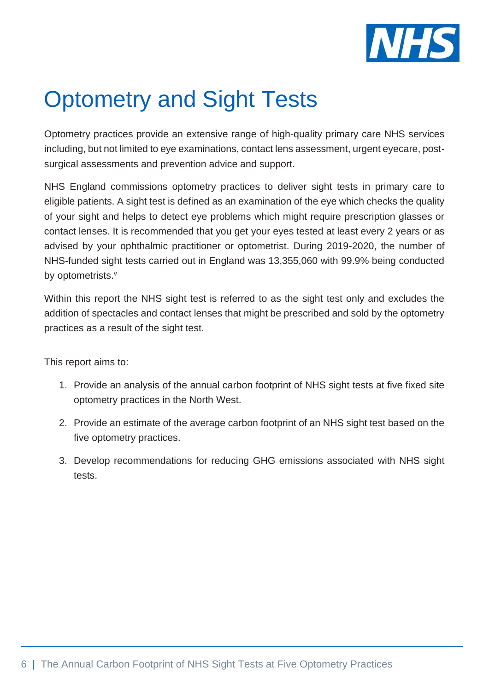

# <span id="page-5-0"></span>Optometry and Sight Tests

Optometry practices provide an extensive range of high-quality primary care NHS services including, but not limited to eye examinations, contact lens assessment, urgent eyecare, postsurgical assessments and prevention advice and support.

NHS England commissions optometry practices to deliver sight tests in primary care to eligible patients. A sight test is defined as an examination of the eye which checks the quality of your sight and helps to detect eye problems which might require prescription glasses or contact lenses. It is recommended that you get your eyes tested at least every 2 years or as advised by your ophthalmic practitioner or optometrist. During 2019-2020, the number of NHS-funded sight tests carried out in England was 13,355,060 with 99.9% being conducted by optometrists.<sup>v</sup>

Within this report the NHS sight test is referred to as the sight test only and excludes the addition of spectacles and contact lenses that might be prescribed and sold by the optometry practices as a result of the sight test.

This report aims to:

- 1. Provide an analysis of the annual carbon footprint of NHS sight tests at five fixed site optometry practices in the North West.
- 2. Provide an estimate of the average carbon footprint of an NHS sight test based on the five optometry practices.
- 3. Develop recommendations for reducing GHG emissions associated with NHS sight tests.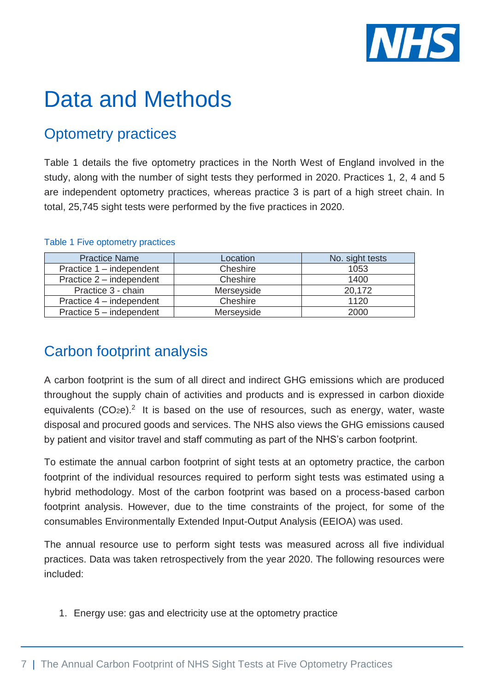

# <span id="page-6-0"></span>Data and Methods

# <span id="page-6-1"></span>Optometry practices

Table 1 details the five optometry practices in the North West of England involved in the study, along with the number of sight tests they performed in 2020. Practices 1, 2, 4 and 5 are independent optometry practices, whereas practice 3 is part of a high street chain. In total, 25,745 sight tests were performed by the five practices in 2020.

| <b>Practice Name</b>     | Location   | No. sight tests |
|--------------------------|------------|-----------------|
| Practice 1 – independent | Cheshire   | 1053            |
| Practice 2 – independent | Cheshire   | 1400            |
| Practice 3 - chain       | Merseyside | 20,172          |
| Practice 4 – independent | Cheshire   | 1120            |
| Practice 5 – independent | Merseyside | 2000            |

#### Table 1 Five optometry practices

# <span id="page-6-2"></span>Carbon footprint analysis

A carbon footprint is the sum of all direct and indirect GHG emissions which are produced throughout the supply chain of activities and products and is expressed in carbon dioxide equivalents  $(CO<sub>2</sub>e)<sup>2</sup>$  It is based on the use of resources, such as energy, water, waste disposal and procured goods and services. The NHS also views the GHG emissions caused by patient and visitor travel and staff commuting as part of the NHS's carbon footprint.

To estimate the annual carbon footprint of sight tests at an optometry practice, the carbon footprint of the individual resources required to perform sight tests was estimated using a hybrid methodology. Most of the carbon footprint was based on a process-based carbon footprint analysis. However, due to the time constraints of the project, for some of the consumables Environmentally Extended Input-Output Analysis (EEIOA) was used.

The annual resource use to perform sight tests was measured across all five individual practices. Data was taken retrospectively from the year 2020. The following resources were included:

1. Energy use: gas and electricity use at the optometry practice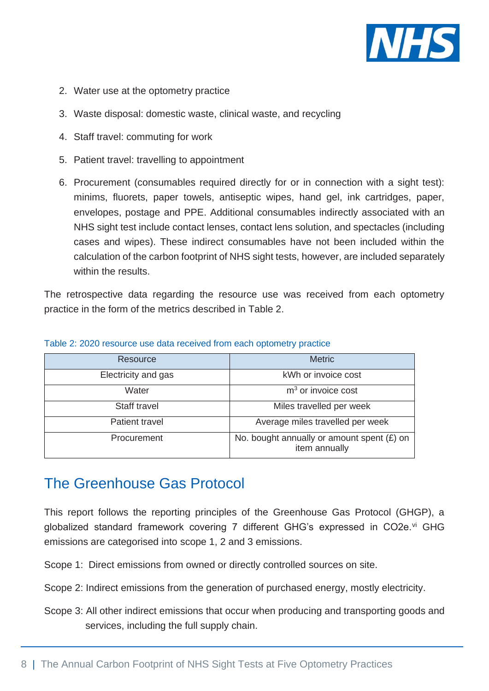

- 2. Water use at the optometry practice
- 3. Waste disposal: domestic waste, clinical waste, and recycling
- 4. Staff travel: commuting for work
- 5. Patient travel: travelling to appointment
- 6. Procurement (consumables required directly for or in connection with a sight test): minims, fluorets, paper towels, antiseptic wipes, hand gel, ink cartridges, paper, envelopes, postage and PPE. Additional consumables indirectly associated with an NHS sight test include contact lenses, contact lens solution, and spectacles (including cases and wipes). These indirect consumables have not been included within the calculation of the carbon footprint of NHS sight tests, however, are included separately within the results.

The retrospective data regarding the resource use was received from each optometry practice in the form of the metrics described in Table 2.

| Resource            | <b>Metric</b>                                                 |
|---------------------|---------------------------------------------------------------|
| Electricity and gas | kWh or invoice cost                                           |
| Water               | $m3$ or invoice cost                                          |
| Staff travel        | Miles travelled per week                                      |
| Patient travel      | Average miles travelled per week                              |
| Procurement         | No. bought annually or amount spent $(E)$ on<br>item annually |

#### Table 2: 2020 resource use data received from each optometry practice

## <span id="page-7-0"></span>The Greenhouse Gas Protocol

This report follows the reporting principles of the Greenhouse Gas Protocol (GHGP), a globalized standard framework covering 7 different GHG's expressed in CO2e.<sup>vi</sup> GHG emissions are categorised into scope 1, 2 and 3 emissions.

Scope 1: Direct emissions from owned or directly controlled sources on site.

Scope 2: Indirect emissions from the generation of purchased energy, mostly electricity.

Scope 3: All other indirect emissions that occur when producing and transporting goods and services, including the full supply chain.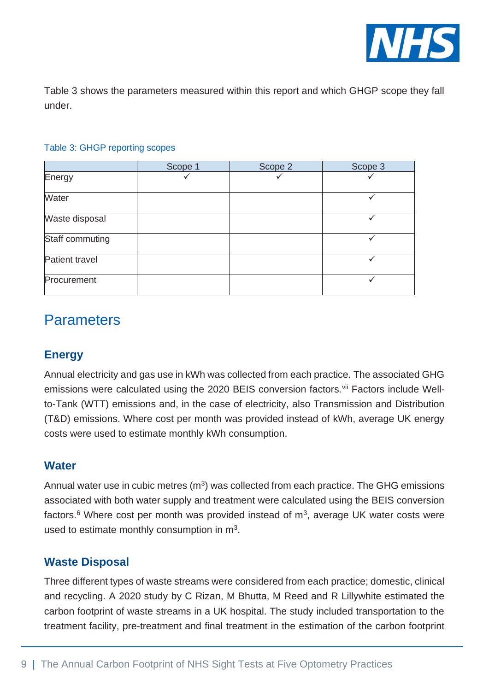

Table 3 shows the parameters measured within this report and which GHGP scope they fall under.

| Table 3: GHGP reporting scopes |  |  |
|--------------------------------|--|--|
|--------------------------------|--|--|

|                 | Scope 1 | Scope 2 | Scope 3 |
|-----------------|---------|---------|---------|
| Energy          |         |         |         |
| Water           |         |         |         |
| Waste disposal  |         |         |         |
| Staff commuting |         |         |         |
| Patient travel  |         |         |         |
| Procurement     |         |         |         |

## <span id="page-8-0"></span>**Parameters**

## **Energy**

Annual electricity and gas use in kWh was collected from each practice. The associated GHG emissions were calculated using the 2020 BEIS conversion factors.<sup>vii</sup> Factors include Wellto-Tank (WTT) emissions and, in the case of electricity, also Transmission and Distribution (T&D) emissions. Where cost per month was provided instead of kWh, average UK energy costs were used to estimate monthly kWh consumption.

### **Water**

Annual water use in cubic metres  $(m^3)$  was collected from each practice. The GHG emissions associated with both water supply and treatment were calculated using the BEIS conversion factors.<sup>6</sup> Where cost per month was provided instead of  $m<sup>3</sup>$ , average UK water costs were used to estimate monthly consumption in  $m<sup>3</sup>$ .

### **Waste Disposal**

Three different types of waste streams were considered from each practice; domestic, clinical and recycling. A 2020 study by C Rizan, M Bhutta, M Reed and R Lillywhite estimated the carbon footprint of waste streams in a UK hospital. The study included transportation to the treatment facility, pre-treatment and final treatment in the estimation of the carbon footprint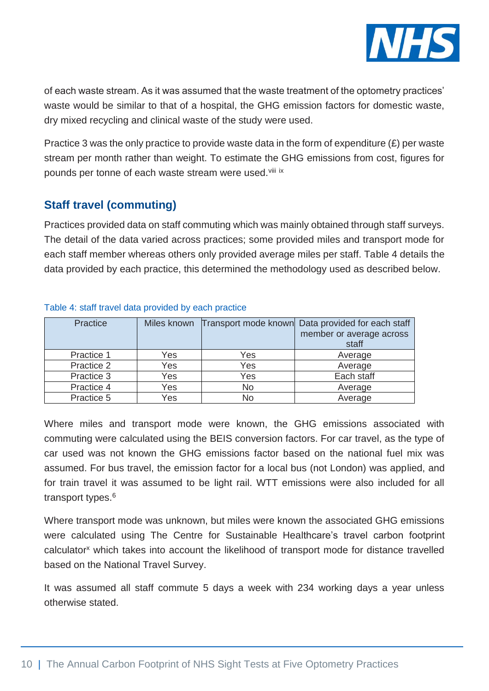

of each waste stream. As it was assumed that the waste treatment of the optometry practices' waste would be similar to that of a hospital, the GHG emission factors for domestic waste, dry mixed recycling and clinical waste of the study were used.

Practice 3 was the only practice to provide waste data in the form of expenditure  $(E)$  per waste stream per month rather than weight. To estimate the GHG emissions from cost, figures for pounds per tonne of each waste stream were used.<sup>viii ix</sup>

## **Staff travel (commuting)**

Practices provided data on staff commuting which was mainly obtained through staff surveys. The detail of the data varied across practices; some provided miles and transport mode for each staff member whereas others only provided average miles per staff. Table 4 details the data provided by each practice, this determined the methodology used as described below.

| <b>Practice</b> |     |           | Miles known Transport mode known Data provided for each staff<br>member or average across<br>staff |
|-----------------|-----|-----------|----------------------------------------------------------------------------------------------------|
| Practice 1      | Yes | Yes       | Average                                                                                            |
| Practice 2      | Yes | Yes       | Average                                                                                            |
| Practice 3      | Yes | Yes       | Each staff                                                                                         |
| Practice 4      | Yes | <b>No</b> | Average                                                                                            |
| Practice 5      | Yes | <b>No</b> | Average                                                                                            |

#### Table 4: staff travel data provided by each practice

Where miles and transport mode were known, the GHG emissions associated with commuting were calculated using the BEIS conversion factors. For car travel, as the type of car used was not known the GHG emissions factor based on the national fuel mix was assumed. For bus travel, the emission factor for a local bus (not London) was applied, and for train travel it was assumed to be light rail. WTT emissions were also included for all transport types.<sup>6</sup>

Where transport mode was unknown, but miles were known the associated GHG emissions were calculated using The Centre for Sustainable Healthcare's travel carbon footprint calculator<sup>x</sup> which takes into account the likelihood of transport mode for distance travelled based on the National Travel Survey.

It was assumed all staff commute 5 days a week with 234 working days a year unless otherwise stated.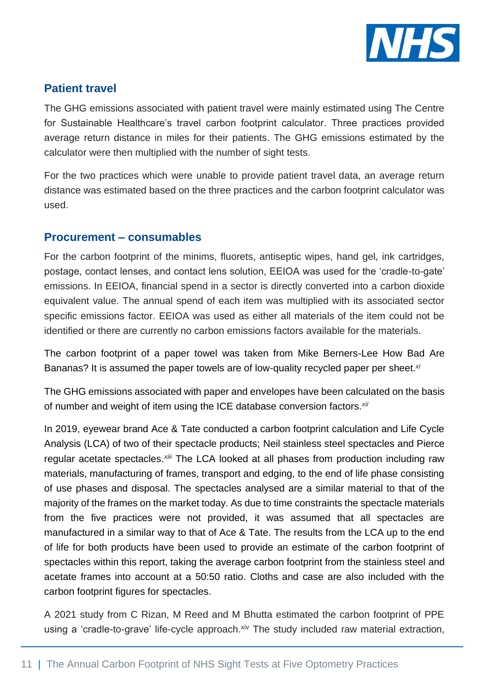

## **Patient travel**

The GHG emissions associated with patient travel were mainly estimated using The Centre for Sustainable Healthcare's travel carbon footprint calculator. Three practices provided average return distance in miles for their patients. The GHG emissions estimated by the calculator were then multiplied with the number of sight tests.

For the two practices which were unable to provide patient travel data, an average return distance was estimated based on the three practices and the carbon footprint calculator was used.

### **Procurement – consumables**

For the carbon footprint of the minims, fluorets, antiseptic wipes, hand gel, ink cartridges, postage, contact lenses, and contact lens solution, EEIOA was used for the 'cradle-to-gate' emissions. In EEIOA, financial spend in a sector is directly converted into a carbon dioxide equivalent value. The annual spend of each item was multiplied with its associated sector specific emissions factor. EEIOA was used as either all materials of the item could not be identified or there are currently no carbon emissions factors available for the materials.

The carbon footprint of a paper towel was taken from Mike Berners-Lee How Bad Are Bananas? It is assumed the paper towels are of low-quality recycled paper per sheet.*xi*

The GHG emissions associated with paper and envelopes have been calculated on the basis of number and weight of item using the ICE database conversion factors.*xii*

In 2019, eyewear brand Ace & Tate conducted a carbon footprint calculation and Life Cycle Analysis (LCA) of two of their spectacle products; Neil stainless steel spectacles and Pierce regular acetate spectacles.*xiii* The LCA looked at all phases from production including raw materials, manufacturing of frames, transport and edging, to the end of life phase consisting of use phases and disposal. The spectacles analysed are a similar material to that of the majority of the frames on the market today. As due to time constraints the spectacle materials from the five practices were not provided, it was assumed that all spectacles are manufactured in a similar way to that of Ace & Tate. The results from the LCA up to the end of life for both products have been used to provide an estimate of the carbon footprint of spectacles within this report, taking the average carbon footprint from the stainless steel and acetate frames into account at a 50:50 ratio. Cloths and case are also included with the carbon footprint figures for spectacles.

A 2021 study from C Rizan, M Reed and M Bhutta estimated the carbon footprint of PPE using a 'cradle-to-grave' life-cycle approach.<sup>xiv</sup> The study included raw material extraction,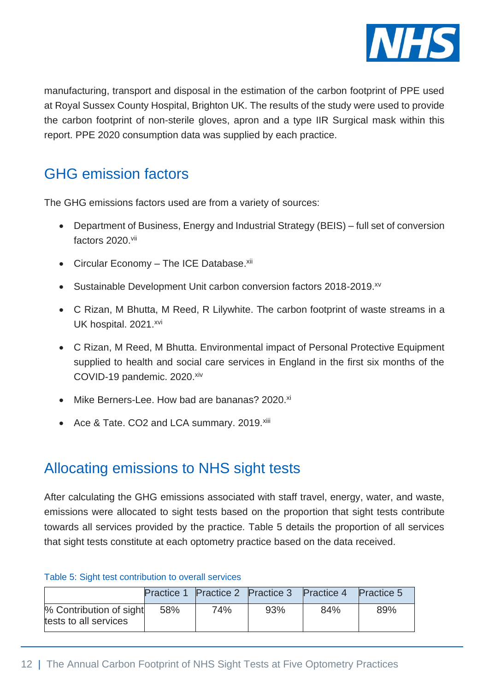

manufacturing, transport and disposal in the estimation of the carbon footprint of PPE used at Royal Sussex County Hospital, Brighton UK. The results of the study were used to provide the carbon footprint of non-sterile gloves, apron and a type IIR Surgical mask within this report. PPE 2020 consumption data was supplied by each practice.

# <span id="page-11-0"></span>GHG emission factors

The GHG emissions factors used are from a variety of sources:

- Department of Business, Energy and Industrial Strategy (BEIS) full set of conversion factors 2020.vii
- Circular Economy The ICE Database. xii
- Sustainable Development Unit carbon conversion factors 2018-2019.<sup>xv</sup>
- C Rizan, M Bhutta, M Reed, R Lilywhite. The carbon footprint of waste streams in a UK hospital. 2021.xvi
- C Rizan, M Reed, M Bhutta. Environmental impact of Personal Protective Equipment supplied to health and social care services in England in the first six months of the COVID-19 pandemic. 2020.xiv
- Mike Berners-Lee. How bad are bananas? 2020.<sup>xi</sup>
- Ace & Tate. CO2 and LCA summary. 2019.xiii

# <span id="page-11-1"></span>Allocating emissions to NHS sight tests

After calculating the GHG emissions associated with staff travel, energy, water, and waste, emissions were allocated to sight tests based on the proportion that sight tests contribute towards all services provided by the practice. Table 5 details the proportion of all services that sight tests constitute at each optometry practice based on the data received.

#### Table 5: Sight test contribution to overall services

|                                                  |     |     | Practice 1 Practice 2 Practice 3 Practice 4 |     | <b>Practice 5</b> |
|--------------------------------------------------|-----|-----|---------------------------------------------|-----|-------------------|
| % Contribution of sight<br>tests to all services | 58% | 74% | 93%                                         | 84% | 89%               |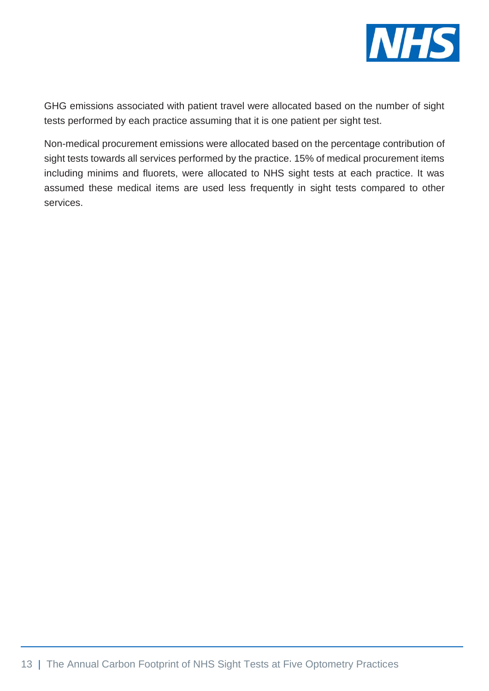

GHG emissions associated with patient travel were allocated based on the number of sight tests performed by each practice assuming that it is one patient per sight test.

Non-medical procurement emissions were allocated based on the percentage contribution of sight tests towards all services performed by the practice. 15% of medical procurement items including minims and fluorets, were allocated to NHS sight tests at each practice. It was assumed these medical items are used less frequently in sight tests compared to other services.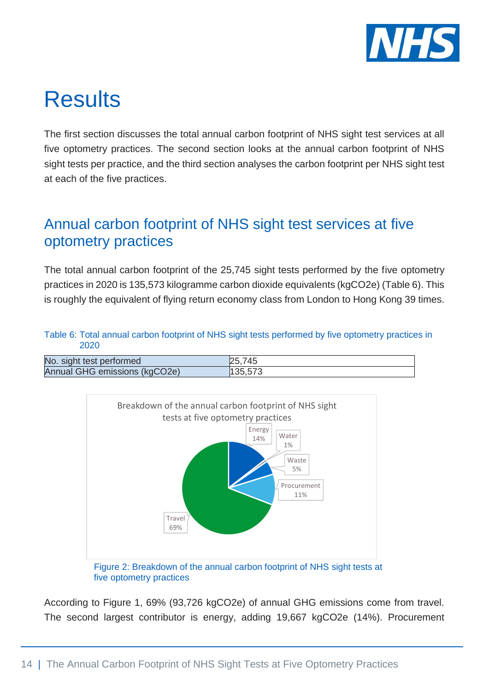

# <span id="page-13-0"></span>**Results**

The first section discusses the total annual carbon footprint of NHS sight test services at all five optometry practices. The second section looks at the annual carbon footprint of NHS sight tests per practice, and the third section analyses the carbon footprint per NHS sight test at each of the five practices.

# <span id="page-13-1"></span>Annual carbon footprint of NHS sight test services at five optometry practices

The total annual carbon footprint of the 25,745 sight tests performed by the five optometry practices in 2020 is 135,573 kilogramme carbon dioxide equivalents (kgCO2e) (Table 6). This is roughly the equivalent of flying return economy class from London to Hong Kong 39 times.

#### Table 6: Total annual carbon footprint of NHS sight tests performed by five optometry practices in 2020

| No. sight test performed      | 25.745  |
|-------------------------------|---------|
| Annual GHG emissions (kgCO2e) | 135,573 |



five optometry practices

According to Figure 1, 69% (93,726 kgCO2e) of annual GHG emissions come from travel. The second largest contributor is energy, adding 19,667 kgCO2e (14%). Procurement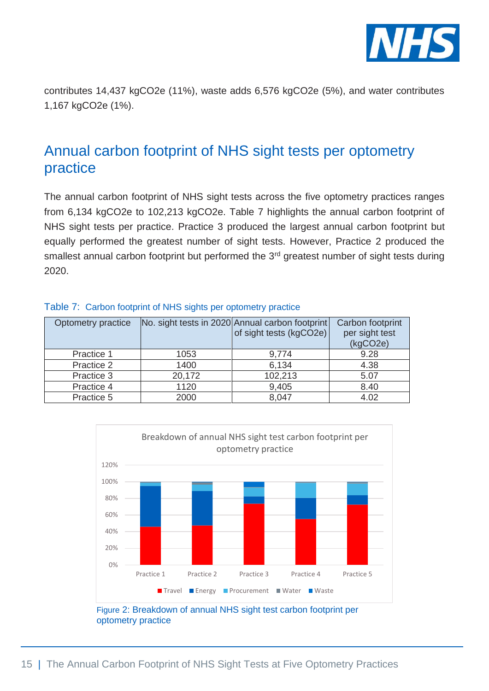

contributes 14,437 kgCO2e (11%), waste adds 6,576 kgCO2e (5%), and water contributes 1,167 kgCO2e (1%).

# <span id="page-14-0"></span>Annual carbon footprint of NHS sight tests per optometry practice

The annual carbon footprint of NHS sight tests across the five optometry practices ranges from 6,134 kgCO2e to 102,213 kgCO2e. Table 7 highlights the annual carbon footprint of NHS sight tests per practice. Practice 3 produced the largest annual carbon footprint but equally performed the greatest number of sight tests. However, Practice 2 produced the smallest annual carbon footprint but performed the 3<sup>rd</sup> greatest number of sight tests during 2020.

| Optometry practice |        | No. sight tests in 2020 Annual carbon footprint<br>of sight tests (kgCO2e) | Carbon footprint<br>per sight test<br>(kgCO2e) |
|--------------------|--------|----------------------------------------------------------------------------|------------------------------------------------|
| Practice 1         | 1053   | 9,774                                                                      | 9.28                                           |
| Practice 2         | 1400   | 6.134                                                                      | 4.38                                           |
| Practice 3         | 20,172 | 102,213                                                                    | 5.07                                           |
| Practice 4         | 1120   | 9,405                                                                      | 8.40                                           |
| Practice 5         | 2000   | 8,047                                                                      | 4.02                                           |

#### Table 7: Carbon footprint of NHS sights per optometry practice



optometry practice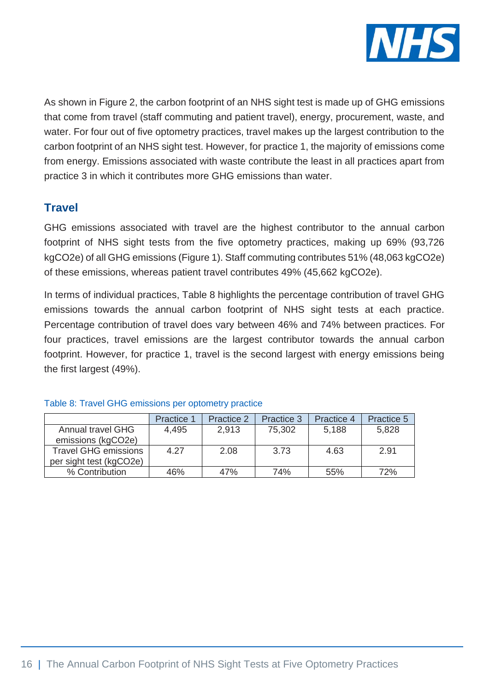

As shown in Figure 2, the carbon footprint of an NHS sight test is made up of GHG emissions that come from travel (staff commuting and patient travel), energy, procurement, waste, and water. For four out of five optometry practices, travel makes up the largest contribution to the carbon footprint of an NHS sight test. However, for practice 1, the majority of emissions come from energy. Emissions associated with waste contribute the least in all practices apart from practice 3 in which it contributes more GHG emissions than water.

## **Travel**

GHG emissions associated with travel are the highest contributor to the annual carbon footprint of NHS sight tests from the five optometry practices, making up 69% (93,726 kgCO2e) of all GHG emissions (Figure 1). Staff commuting contributes 51% (48,063 kgCO2e) of these emissions, whereas patient travel contributes 49% (45,662 kgCO2e).

In terms of individual practices, Table 8 highlights the percentage contribution of travel GHG emissions towards the annual carbon footprint of NHS sight tests at each practice. Percentage contribution of travel does vary between 46% and 74% between practices. For four practices, travel emissions are the largest contributor towards the annual carbon footprint. However, for practice 1, travel is the second largest with energy emissions being the first largest (49%).

|                             | <b>Practice 1</b> | <b>Practice 2</b> | Practice 3 | Practice 4 | <b>Practice 5</b> |
|-----------------------------|-------------------|-------------------|------------|------------|-------------------|
| <b>Annual travel GHG</b>    | 4.495             | 2.913             | 75,302     | 5,188      | 5,828             |
| emissions (kgCO2e)          |                   |                   |            |            |                   |
| <b>Travel GHG emissions</b> | 4.27              | 2.08              | 3.73       | 4.63       | 2.91              |
| per sight test (kgCO2e)     |                   |                   |            |            |                   |
| % Contribution              | 46%               | 47%               | 74%        | 55%        | 72%               |

#### Table 8: Travel GHG emissions per optometry practice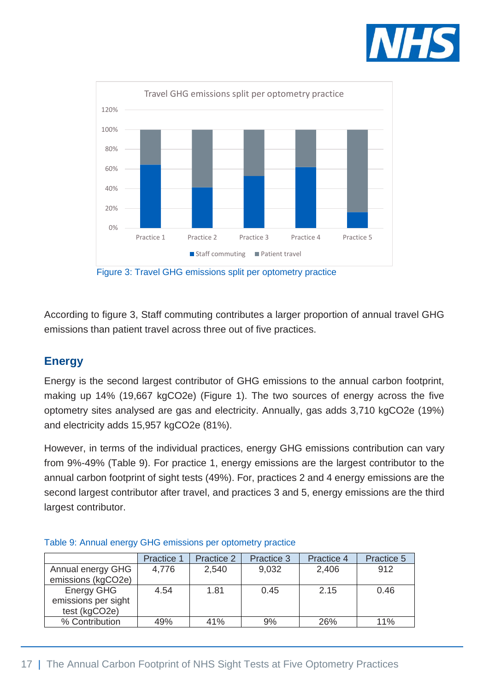



Figure 3: Travel GHG emissions split per optometry practice

According to figure 3, Staff commuting contributes a larger proportion of annual travel GHG emissions than patient travel across three out of five practices.

## **Energy**

Energy is the second largest contributor of GHG emissions to the annual carbon footprint, making up 14% (19,667 kgCO2e) (Figure 1). The two sources of energy across the five optometry sites analysed are gas and electricity. Annually, gas adds 3,710 kgCO2e (19%) and electricity adds 15,957 kgCO2e (81%).

However, in terms of the individual practices, energy GHG emissions contribution can vary from 9%-49% (Table 9). For practice 1, energy emissions are the largest contributor to the annual carbon footprint of sight tests (49%). For, practices 2 and 4 energy emissions are the second largest contributor after travel, and practices 3 and 5, energy emissions are the third largest contributor.

|                                                           | Practice 1 | Practice 2 | Practice 3 | Practice 4 | Practice 5 |
|-----------------------------------------------------------|------------|------------|------------|------------|------------|
| Annual energy GHG<br>emissions (kgCO2e)                   | 4,776      | 2,540      | 9,032      | 2,406      | 912        |
| <b>Energy GHG</b><br>emissions per sight<br>test (kgCO2e) | 4.54       | 1.81       | 0.45       | 2.15       | 0.46       |
| % Contribution                                            | 49%        | 41%        | 9%         | 26%        | 11%        |

#### Table 9: Annual energy GHG emissions per optometry practice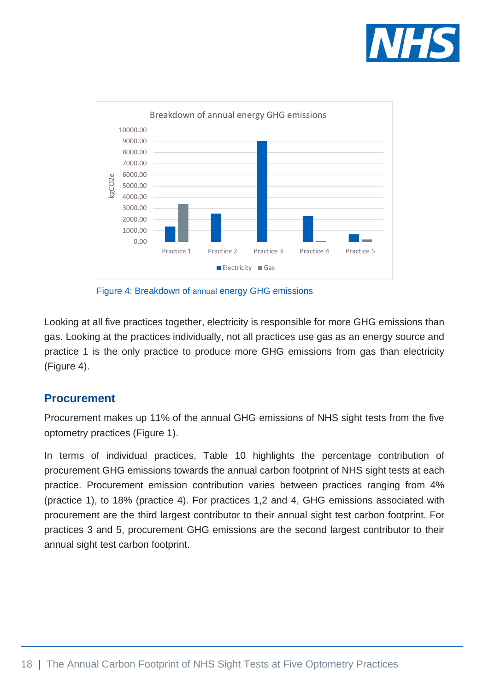



Figure 4: Breakdown of annual energy GHG emissions

Looking at all five practices together, electricity is responsible for more GHG emissions than gas. Looking at the practices individually, not all practices use gas as an energy source and practice 1 is the only practice to produce more GHG emissions from gas than electricity (Figure 4).

### **Procurement**

Procurement makes up 11% of the annual GHG emissions of NHS sight tests from the five optometry practices (Figure 1).

In terms of individual practices, Table 10 highlights the percentage contribution of procurement GHG emissions towards the annual carbon footprint of NHS sight tests at each practice. Procurement emission contribution varies between practices ranging from 4% (practice 1), to 18% (practice 4). For practices 1,2 and 4, GHG emissions associated with procurement are the third largest contributor to their annual sight test carbon footprint. For practices 3 and 5, procurement GHG emissions are the second largest contributor to their annual sight test carbon footprint.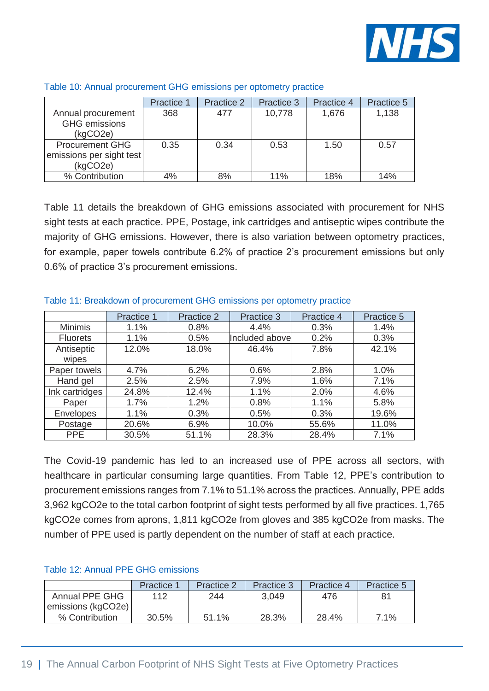

|                          | <b>Practice 1</b> | Practice 2 | Practice 3 | Practice 4 | Practice 5 |
|--------------------------|-------------------|------------|------------|------------|------------|
| Annual procurement       | 368               | 477        | 10,778     | 1,676      | 1,138      |
| <b>GHG</b> emissions     |                   |            |            |            |            |
| (kqCO2e)                 |                   |            |            |            |            |
| <b>Procurement GHG</b>   | 0.35              | 0.34       | 0.53       | 1.50       | 0.57       |
| emissions per sight test |                   |            |            |            |            |
| (kgCO2e)                 |                   |            |            |            |            |
| % Contribution           | 4%                | 8%         | 11%        | 18%        | 14%        |

#### Table 10: Annual procurement GHG emissions per optometry practice

Table 11 details the breakdown of GHG emissions associated with procurement for NHS sight tests at each practice. PPE, Postage, ink cartridges and antiseptic wipes contribute the majority of GHG emissions. However, there is also variation between optometry practices, for example, paper towels contribute 6.2% of practice 2's procurement emissions but only 0.6% of practice 3's procurement emissions.

|                     | Practice 1 | Practice 2 | Practice 3     | Practice 4 | Practice 5 |
|---------------------|------------|------------|----------------|------------|------------|
| <b>Minimis</b>      | 1.1%       | 0.8%       | 4.4%           | 0.3%       | 1.4%       |
| <b>Fluorets</b>     | 1.1%       | 0.5%       | Included above | 0.2%       | 0.3%       |
| Antiseptic<br>wipes | 12.0%      | 18.0%      | 46.4%          | 7.8%       | 42.1%      |
| Paper towels        | 4.7%       | 6.2%       | 0.6%           | 2.8%       | 1.0%       |
| Hand gel            | 2.5%       | 2.5%       | 7.9%           | 1.6%       | 7.1%       |
| Ink cartridges      | 24.8%      | 12.4%      | 1.1%           | 2.0%       | 4.6%       |
| Paper               | 1.7%       | 1.2%       | 0.8%           | 1.1%       | 5.8%       |
| <b>Envelopes</b>    | 1.1%       | 0.3%       | 0.5%           | 0.3%       | 19.6%      |
| Postage             | 20.6%      | 6.9%       | 10.0%          | 55.6%      | 11.0%      |
| <b>PPE</b>          | 30.5%      | 51.1%      | 28.3%          | 28.4%      | 7.1%       |

Table 11: Breakdown of procurement GHG emissions per optometry practice

The Covid-19 pandemic has led to an increased use of PPE across all sectors, with healthcare in particular consuming large quantities. From Table 12, PPE's contribution to procurement emissions ranges from 7.1% to 51.1% across the practices. Annually, PPE adds 3,962 kgCO2e to the total carbon footprint of sight tests performed by all five practices. 1,765 kgCO2e comes from aprons, 1,811 kgCO2e from gloves and 385 kgCO2e from masks. The number of PPE used is partly dependent on the number of staff at each practice.

#### Table 12: Annual PPE GHG emissions

|                       | <b>Practice 1</b> | <b>Practice 2</b> | Practice 3 | Practice 4 | Practice 5 |
|-----------------------|-------------------|-------------------|------------|------------|------------|
| <b>Annual PPE GHG</b> | 112               | 244               | 3.049      | 476        | 81         |
| emissions (kgCO2e)    |                   |                   |            |            |            |
| % Contribution        | 30.5%             | 51.1%             | 28.3%      | 28.4%      | 7.1%       |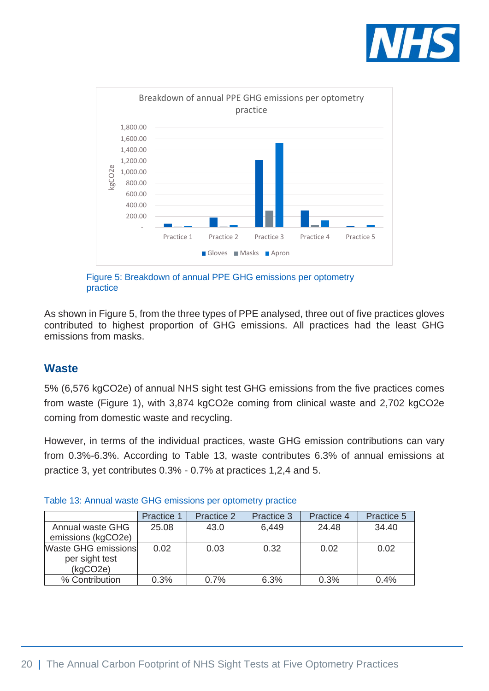



Figure 5: Breakdown of annual PPE GHG emissions per optometry practice

As shown in Figure 5, from the three types of PPE analysed, three out of five practices gloves contributed to highest proportion of GHG emissions. All practices had the least GHG emissions from masks.

### **Waste**

5% (6,576 kgCO2e) of annual NHS sight test GHG emissions from the five practices comes from waste (Figure 1), with 3,874 kgCO2e coming from clinical waste and 2,702 kgCO2e coming from domestic waste and recycling.

However, in terms of the individual practices, waste GHG emission contributions can vary from 0.3%-6.3%. According to Table 13, waste contributes 6.3% of annual emissions at practice 3, yet contributes 0.3% - 0.7% at practices 1,2,4 and 5.

|                            | <b>Practice 1</b> | Practice 2 | Practice 3 | Practice 4 | Practice 5 |
|----------------------------|-------------------|------------|------------|------------|------------|
| Annual waste GHG           | 25.08             | 43.0       | 6,449      | 24.48      | 34.40      |
| emissions (kgCO2e)         |                   |            |            |            |            |
| <b>Waste GHG emissions</b> | 0.02              | 0.03       | 0.32       | 0.02       | 0.02       |
| per sight test             |                   |            |            |            |            |
| (kqCO2e)                   |                   |            |            |            |            |
| % Contribution             | 0.3%              | 0.7%       | 6.3%       | 0.3%       | 0.4%       |

|  | Table 13: Annual waste GHG emissions per optometry practice |  |  |  |  |  |  |
|--|-------------------------------------------------------------|--|--|--|--|--|--|
|--|-------------------------------------------------------------|--|--|--|--|--|--|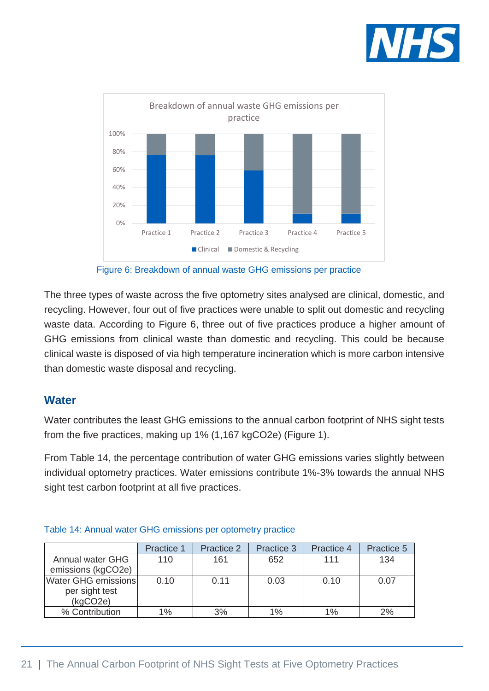



Figure 6: Breakdown of annual waste GHG emissions per practice

The three types of waste across the five optometry sites analysed are clinical, domestic, and recycling. However, four out of five practices were unable to split out domestic and recycling waste data. According to Figure 6, three out of five practices produce a higher amount of GHG emissions from clinical waste than domestic and recycling. This could be because clinical waste is disposed of via high temperature incineration which is more carbon intensive than domestic waste disposal and recycling.

### **Water**

Water contributes the least GHG emissions to the annual carbon footprint of NHS sight tests from the five practices, making up 1% (1,167 kgCO2e) (Figure 1).

From Table 14, the percentage contribution of water GHG emissions varies slightly between individual optometry practices. Water emissions contribute 1%-3% towards the annual NHS sight test carbon footprint at all five practices.

|                     | Practice 1 | Practice 2 | Practice 3 | Practice 4 | Practice 5 |
|---------------------|------------|------------|------------|------------|------------|
| Annual water GHG    | 110        | 161        | 652        | 111        | 134        |
| emissions (kgCO2e)  |            |            |            |            |            |
| Water GHG emissions | 0.10       | 0.11       | 0.03       | 0.10       | 0.07       |
| per sight test      |            |            |            |            |            |
| (kqCO2e)            |            |            |            |            |            |
| % Contribution      | 1%         | 3%         | 1%         | 1%         | 2%         |

#### Table 14: Annual water GHG emissions per optometry practice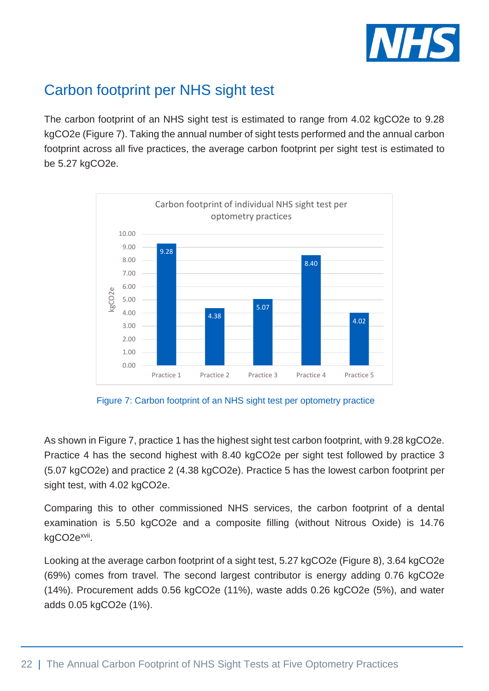

# <span id="page-21-0"></span>Carbon footprint per NHS sight test

The carbon footprint of an NHS sight test is estimated to range from 4.02 kgCO2e to 9.28 kgCO2e (Figure 7). Taking the annual number of sight tests performed and the annual carbon footprint across all five practices, the average carbon footprint per sight test is estimated to be 5.27 kgCO2e.



Figure 7: Carbon footprint of an NHS sight test per optometry practice

As shown in Figure 7, practice 1 has the highest sight test carbon footprint, with 9.28 kgCO2e. Practice 4 has the second highest with 8.40 kgCO2e per sight test followed by practice 3 (5.07 kgCO2e) and practice 2 (4.38 kgCO2e). Practice 5 has the lowest carbon footprint per sight test, with 4.02 kgCO2e.

Comparing this to other commissioned NHS services, the carbon footprint of a dental examination is 5.50 kgCO2e and a composite filling (without Nitrous Oxide) is 14.76 kgCO2e<sup>xvii</sup>.

Looking at the average carbon footprint of a sight test, 5.27 kgCO2e (Figure 8), 3.64 kgCO2e (69%) comes from travel. The second largest contributor is energy adding 0.76 kgCO2e (14%). Procurement adds 0.56 kgCO2e (11%), waste adds 0.26 kgCO2e (5%), and water adds 0.05 kgCO2e (1%).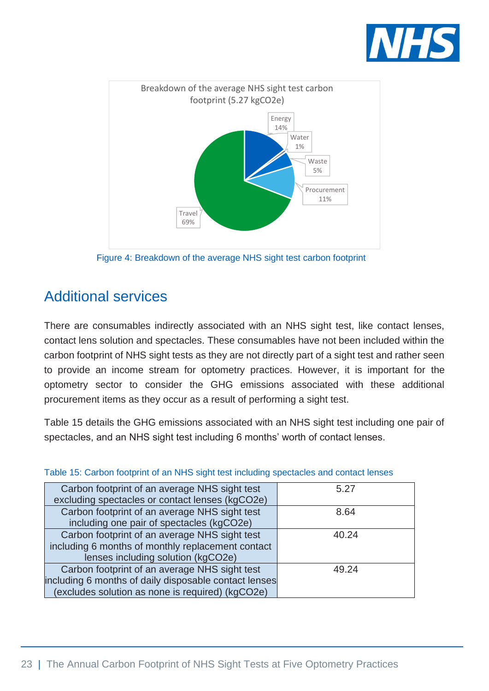



Figure 4: Breakdown of the average NHS sight test carbon footprint

# <span id="page-22-0"></span>Additional services

There are consumables indirectly associated with an NHS sight test, like contact lenses, contact lens solution and spectacles. These consumables have not been included within the carbon footprint of NHS sight tests as they are not directly part of a sight test and rather seen to provide an income stream for optometry practices. However, it is important for the optometry sector to consider the GHG emissions associated with these additional procurement items as they occur as a result of performing a sight test.

Table 15 details the GHG emissions associated with an NHS sight test including one pair of spectacles, and an NHS sight test including 6 months' worth of contact lenses.

| Carbon footprint of an average NHS sight test         | 5.27  |
|-------------------------------------------------------|-------|
| excluding spectacles or contact lenses (kgCO2e)       |       |
| Carbon footprint of an average NHS sight test         | 8.64  |
| including one pair of spectacles (kgCO2e)             |       |
| Carbon footprint of an average NHS sight test         | 40.24 |
| including 6 months of monthly replacement contact     |       |
| lenses including solution (kgCO2e)                    |       |
| Carbon footprint of an average NHS sight test         | 49.24 |
| including 6 months of daily disposable contact lenses |       |
| (excludes solution as none is required) (kgCO2e)      |       |

#### Table 15: Carbon footprint of an NHS sight test including spectacles and contact lenses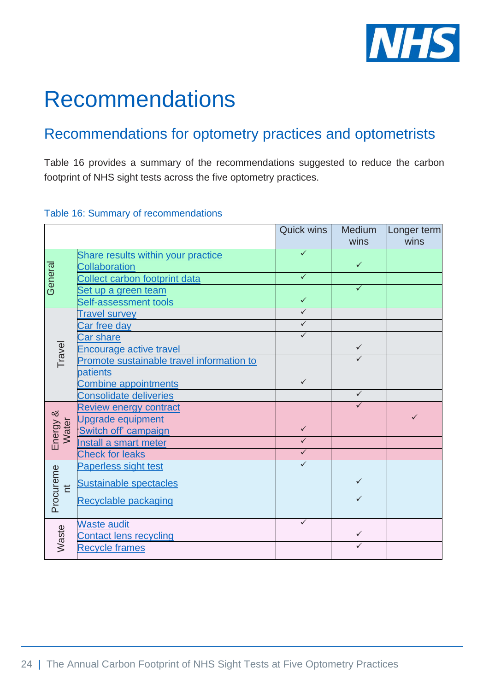

# <span id="page-23-0"></span>Recommendations

# <span id="page-23-1"></span>Recommendations for optometry practices and optometrists

Table 16 provides a summary of the recommendations suggested to reduce the carbon footprint of NHS sight tests across the five optometry practices.

#### Table 16: Summary of recommendations

|                   |                                           | <b>Quick wins</b>            | <b>Medium</b><br>wins | Longer term<br>wins |
|-------------------|-------------------------------------------|------------------------------|-----------------------|---------------------|
|                   | Share results within your practice        | $\checkmark$                 |                       |                     |
| Genera            | Collaboration                             |                              | $\checkmark$          |                     |
|                   | Collect carbon footprint data             | $\checkmark$                 |                       |                     |
|                   | Set up a green team                       |                              | $\checkmark$          |                     |
|                   | Self-assessment tools                     | $\checkmark$                 |                       |                     |
|                   | <b>Travel survey</b>                      | $\checkmark$                 |                       |                     |
|                   | Car free day                              | $\checkmark$                 |                       |                     |
|                   | <b>Car share</b>                          | $\checkmark$                 |                       |                     |
| Travel            | <b>Encourage active travel</b>            |                              | ✓                     |                     |
|                   | Promote sustainable travel information to |                              | ✓                     |                     |
|                   | patients                                  |                              |                       |                     |
|                   | <b>Combine appointments</b>               | $\checkmark$                 |                       |                     |
|                   | <b>Consolidate deliveries</b>             |                              | $\checkmark$          |                     |
|                   | <b>Review energy contract</b>             |                              | $\checkmark$          | $\checkmark$        |
| Energy &<br>Water | <b>Upgrade equipment</b>                  |                              |                       |                     |
|                   | <b>Switch off campaign</b>                | $\checkmark$<br>$\checkmark$ |                       |                     |
|                   | Install a smart meter                     | $\checkmark$                 |                       |                     |
|                   | <b>Check for leaks</b>                    |                              |                       |                     |
|                   | Paperless sight test                      | $\checkmark$                 |                       |                     |
| $\overline{a}$    | <b>Sustainable spectacles</b>             |                              | $\checkmark$          |                     |
| Procureme         | Recyclable packaging                      |                              | ✓                     |                     |
|                   | <b>Waste audit</b>                        | $\checkmark$                 |                       |                     |
| Waste             | <b>Contact lens recycling</b>             |                              | $\checkmark$          |                     |
|                   | <b>Recycle frames</b>                     |                              | ✓                     |                     |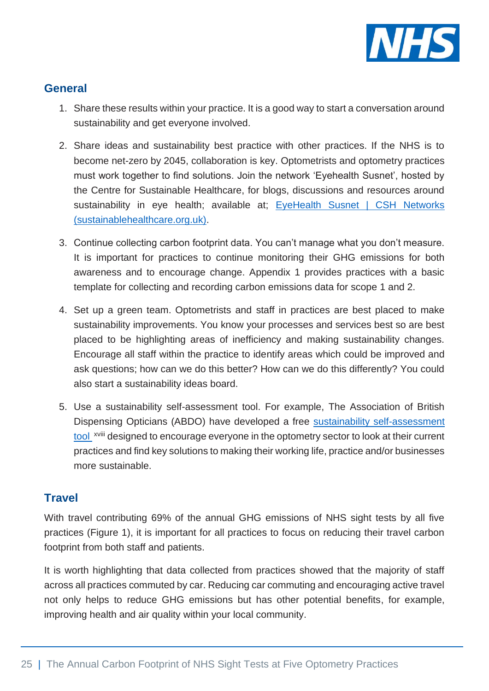

## <span id="page-24-0"></span>**General**

- 1. Share these results within your practice. It is a good way to start a conversation around sustainability and get everyone involved.
- <span id="page-24-1"></span>2. Share ideas and sustainability best practice with other practices. If the NHS is to become net-zero by 2045, collaboration is key. Optometrists and optometry practices must work together to find solutions. Join the network 'Eyehealth Susnet', hosted by the Centre for Sustainable Healthcare, for blogs, discussions and resources around sustainability in eye health; available at; EyeHealth Susnet | CSH Networks [\(sustainablehealthcare.org.uk\).](https://networks.sustainablehealthcare.org.uk/network/eyehealth-susnet)
- <span id="page-24-2"></span>3. Continue collecting carbon footprint data. You can't manage what you don't measure. It is important for practices to continue monitoring their GHG emissions for both awareness and to encourage change. Appendix 1 provides practices with a basic template for collecting and recording carbon emissions data for scope 1 and 2.
- <span id="page-24-3"></span>4. Set up a green team. Optometrists and staff in practices are best placed to make sustainability improvements. You know your processes and services best so are best placed to be highlighting areas of inefficiency and making sustainability changes. Encourage all staff within the practice to identify areas which could be improved and ask questions; how can we do this better? How can we do this differently? You could also start a sustainability ideas board.
- <span id="page-24-4"></span>5. Use a sustainability self-assessment tool. For example, The Association of British Dispensing Opticians (ABDO) have developed a free [sustainability self-assessment](https://www.abdo.org.uk/sustainability-questionnaire/)  [tool](https://www.abdo.org.uk/sustainability-questionnaire/) xviii designed to encourage everyone in the optometry sector to look at their current practices and find key solutions to making their working life, practice and/or businesses more sustainable.

### **Travel**

With travel contributing 69% of the annual GHG emissions of NHS sight tests by all five practices (Figure 1), it is important for all practices to focus on reducing their travel carbon footprint from both staff and patients.

It is worth highlighting that data collected from practices showed that the majority of staff across all practices commuted by car. Reducing car commuting and encouraging active travel not only helps to reduce GHG emissions but has other potential benefits, for example, improving health and air quality within your local community.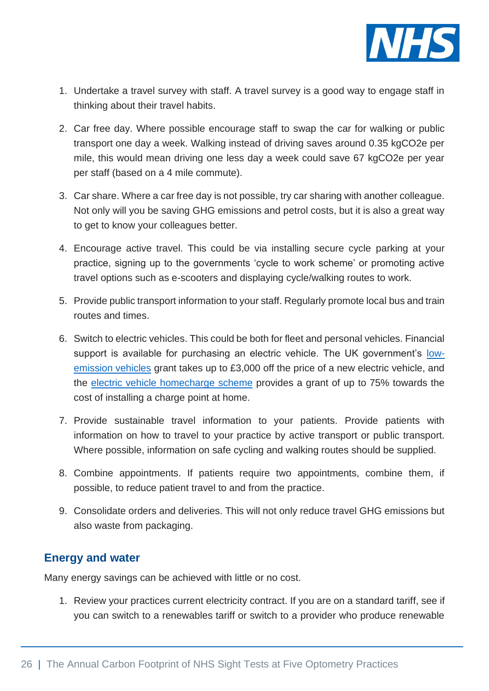

- <span id="page-25-0"></span>1. Undertake a travel survey with staff. A travel survey is a good way to engage staff in thinking about their travel habits.
- <span id="page-25-1"></span>2. Car free day. Where possible encourage staff to swap the car for walking or public transport one day a week. Walking instead of driving saves around 0.35 kgCO2e per mile, this would mean driving one less day a week could save 67 kgCO2e per year per staff (based on a 4 mile commute).
- <span id="page-25-2"></span>3. Car share. Where a car free day is not possible, try car sharing with another colleague. Not only will you be saving GHG emissions and petrol costs, but it is also a great way to get to know your colleagues better.
- <span id="page-25-3"></span>4. Encourage active travel. This could be via installing secure cycle parking at your practice, signing up to the governments 'cycle to work scheme' or promoting active travel options such as e-scooters and displaying cycle/walking routes to work.
- 5. Provide public transport information to your staff. Regularly promote local bus and train routes and times.
- 6. Switch to electric vehicles. This could be both for fleet and personal vehicles. Financial support is available for purchasing an electric vehicle. The UK government's [low](https://www.gov.uk/plug-in-car-van-grants)[emission vehicles](https://www.gov.uk/plug-in-car-van-grants) grant takes up to £3,000 off the price of a new electric vehicle, and the electric vehicle [homecharge scheme](https://www.gov.uk/government/collections/government-grants-for-low-emission-vehicles#electric-vehicle-homecharge-scheme) provides a grant of up to 75% towards the cost of installing a charge point at home.
- <span id="page-25-4"></span>7. Provide sustainable travel information to your patients. Provide patients with information on how to travel to your practice by active transport or public transport. Where possible, information on safe cycling and walking routes should be supplied.
- <span id="page-25-5"></span>8. Combine appointments. If patients require two appointments, combine them, if possible, to reduce patient travel to and from the practice.
- <span id="page-25-6"></span>9. Consolidate orders and deliveries. This will not only reduce travel GHG emissions but also waste from packaging.

## **Energy and water**

Many energy savings can be achieved with little or no cost.

<span id="page-25-7"></span>1. Review your practices current electricity contract. If you are on a standard tariff, see if you can switch to a renewables tariff or switch to a provider who produce renewable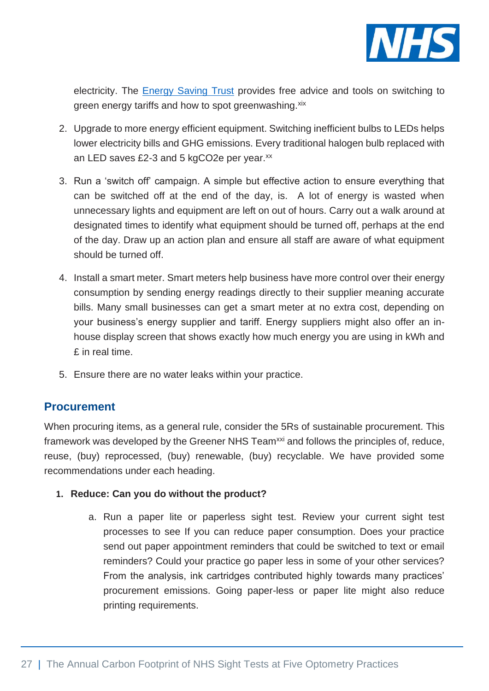

electricity. The [Energy Saving Trust](https://energysavingtrust.org.uk/advice/switching-your-energy-supplier/) provides free advice and tools on switching to green energy tariffs and how to spot greenwashing. xix

- <span id="page-26-0"></span>2. Upgrade to more energy efficient equipment. Switching inefficient bulbs to LEDs helps lower electricity bills and GHG emissions. Every traditional halogen bulb replaced with an LED saves £2-3 and 5 kgCO2e per year.<sup>xx</sup>
- <span id="page-26-1"></span>3. Run a 'switch off' campaign. A simple but effective action to ensure everything that can be switched off at the end of the day, is. A lot of energy is wasted when unnecessary lights and equipment are left on out of hours. Carry out a walk around at designated times to identify what equipment should be turned off, perhaps at the end of the day. Draw up an action plan and ensure all staff are aware of what equipment should be turned off.
- <span id="page-26-2"></span>4. Install a smart meter. Smart meters help business have more control over their energy consumption by sending energy readings directly to their supplier meaning accurate bills. Many small businesses can get a smart meter at no extra cost, depending on your business's energy supplier and tariff. Energy suppliers might also offer an inhouse display screen that shows exactly how much energy you are using in kWh and £ in real time.
- <span id="page-26-3"></span>5. Ensure there are no water leaks within your practice.

### **Procurement**

When procuring items, as a general rule, consider the 5Rs of sustainable procurement. This framework was developed by the Greener NHS Team<sup>xxi</sup> and follows the principles of, reduce, reuse, (buy) reprocessed, (buy) renewable, (buy) recyclable. We have provided some recommendations under each heading.

- <span id="page-26-4"></span>**1. Reduce: Can you do without the product?**
	- a. Run a paper lite or paperless sight test. Review your current sight test processes to see If you can reduce paper consumption. Does your practice send out paper appointment reminders that could be switched to text or email reminders? Could your practice go paper less in some of your other services? From the analysis, ink cartridges contributed highly towards many practices' procurement emissions. Going paper-less or paper lite might also reduce printing requirements.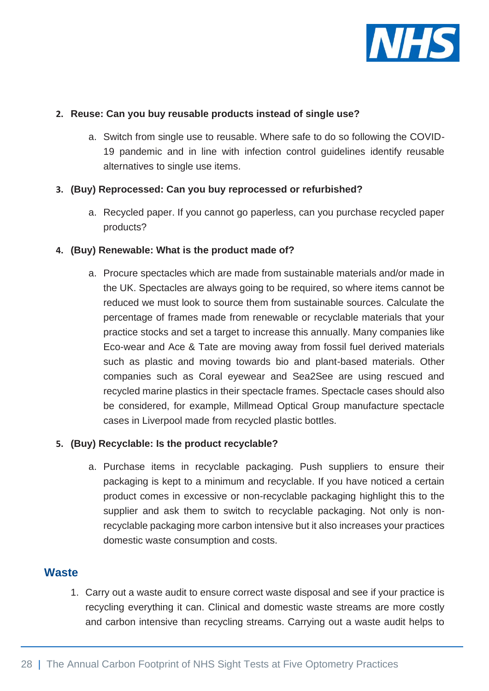

#### **2. Reuse: Can you buy reusable products instead of single use?**

a. Switch from single use to reusable. Where safe to do so following the COVID-19 pandemic and in line with infection control guidelines identify reusable alternatives to single use items.

#### **3. (Buy) Reprocessed: Can you buy reprocessed or refurbished?**

a. Recycled paper. If you cannot go paperless, can you purchase recycled paper products?

#### **4. (Buy) Renewable: What is the product made of?**

<span id="page-27-0"></span>a. Procure spectacles which are made from sustainable materials and/or made in the UK. Spectacles are always going to be required, so where items cannot be reduced we must look to source them from sustainable sources. Calculate the percentage of frames made from renewable or recyclable materials that your practice stocks and set a target to increase this annually. Many companies like Eco-wear and Ace & Tate are moving away from fossil fuel derived materials such as plastic and moving towards bio and plant-based materials. Other companies such as Coral eyewear and Sea2See are using rescued and recycled marine plastics in their spectacle frames. Spectacle cases should also be considered, for example, Millmead Optical Group manufacture spectacle cases in Liverpool made from recycled plastic bottles.

#### **5. (Buy) Recyclable: Is the product recyclable?**

<span id="page-27-1"></span>a. Purchase items in recyclable packaging. Push suppliers to ensure their packaging is kept to a minimum and recyclable. If you have noticed a certain product comes in excessive or non-recyclable packaging highlight this to the supplier and ask them to switch to recyclable packaging. Not only is nonrecyclable packaging more carbon intensive but it also increases your practices domestic waste consumption and costs.

### **Waste**

<span id="page-27-2"></span>1. Carry out a waste audit to ensure correct waste disposal and see if your practice is recycling everything it can. Clinical and domestic waste streams are more costly and carbon intensive than recycling streams. Carrying out a waste audit helps to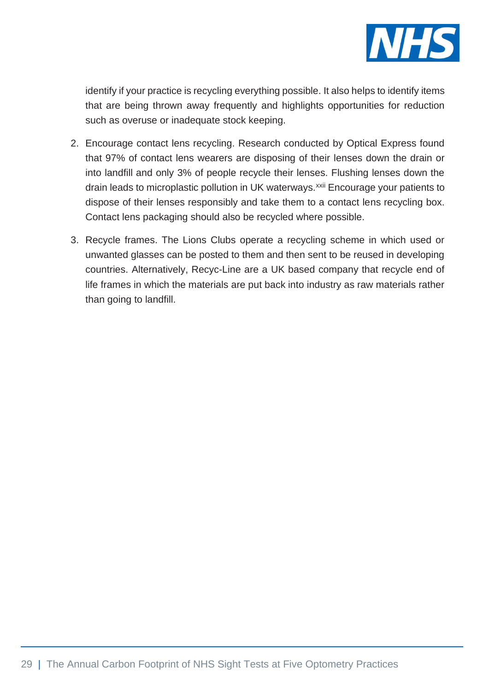

identify if your practice is recycling everything possible. It also helps to identify items that are being thrown away frequently and highlights opportunities for reduction such as overuse or inadequate stock keeping.

- <span id="page-28-0"></span>2. Encourage contact lens recycling. Research conducted by Optical Express found that 97% of contact lens wearers are disposing of their lenses down the drain or into landfill and only 3% of people recycle their lenses. Flushing lenses down the drain leads to microplastic pollution in UK waterways.<sup>xxii</sup> Encourage your patients to dispose of their lenses responsibly and take them to a contact lens recycling box. Contact lens packaging should also be recycled where possible.
- <span id="page-28-1"></span>3. Recycle frames. The Lions Clubs operate a recycling scheme in which used or unwanted glasses can be posted to them and then sent to be reused in developing countries. Alternatively, Recyc-Line are a UK based company that recycle end of life frames in which the materials are put back into industry as raw materials rather than going to landfill.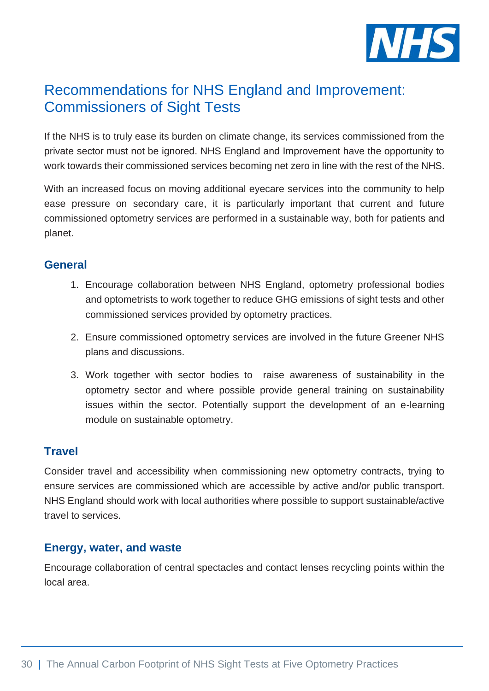

# <span id="page-29-0"></span>Recommendations for NHS England and Improvement: Commissioners of Sight Tests

If the NHS is to truly ease its burden on climate change, its services commissioned from the private sector must not be ignored. NHS England and Improvement have the opportunity to work towards their commissioned services becoming net zero in line with the rest of the NHS.

With an increased focus on moving additional eyecare services into the community to help ease pressure on secondary care, it is particularly important that current and future commissioned optometry services are performed in a sustainable way, both for patients and planet.

### **General**

- 1. Encourage collaboration between NHS England, optometry professional bodies and optometrists to work together to reduce GHG emissions of sight tests and other commissioned services provided by optometry practices.
- 2. Ensure commissioned optometry services are involved in the future Greener NHS plans and discussions.
- 3. Work together with sector bodies to raise awareness of sustainability in the optometry sector and where possible provide general training on sustainability issues within the sector. Potentially support the development of an e-learning module on sustainable optometry.

## **Travel**

Consider travel and accessibility when commissioning new optometry contracts, trying to ensure services are commissioned which are accessible by active and/or public transport. NHS England should work with local authorities where possible to support sustainable/active travel to services.

### **Energy, water, and waste**

Encourage collaboration of central spectacles and contact lenses recycling points within the local area.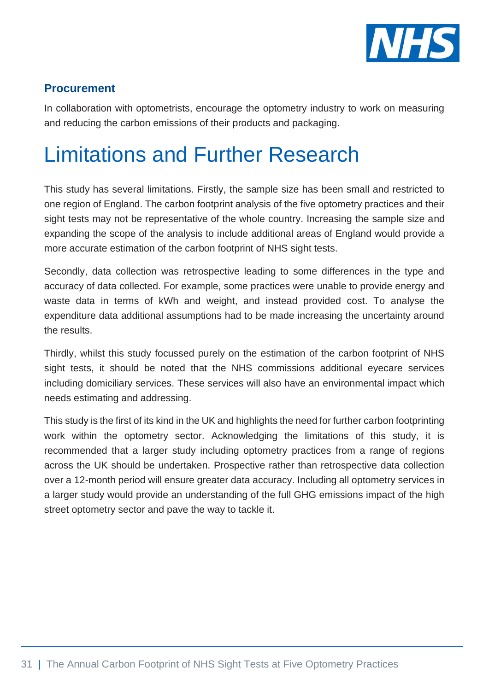

## **Procurement**

In collaboration with optometrists, encourage the optometry industry to work on measuring and reducing the carbon emissions of their products and packaging.

# <span id="page-30-0"></span>Limitations and Further Research

This study has several limitations. Firstly, the sample size has been small and restricted to one region of England. The carbon footprint analysis of the five optometry practices and their sight tests may not be representative of the whole country. Increasing the sample size and expanding the scope of the analysis to include additional areas of England would provide a more accurate estimation of the carbon footprint of NHS sight tests.

Secondly, data collection was retrospective leading to some differences in the type and accuracy of data collected. For example, some practices were unable to provide energy and waste data in terms of kWh and weight, and instead provided cost. To analyse the expenditure data additional assumptions had to be made increasing the uncertainty around the results.

Thirdly, whilst this study focussed purely on the estimation of the carbon footprint of NHS sight tests, it should be noted that the NHS commissions additional eyecare services including domiciliary services. These services will also have an environmental impact which needs estimating and addressing.

This study is the first of its kind in the UK and highlights the need for further carbon footprinting work within the optometry sector. Acknowledging the limitations of this study, it is recommended that a larger study including optometry practices from a range of regions across the UK should be undertaken. Prospective rather than retrospective data collection over a 12-month period will ensure greater data accuracy. Including all optometry services in a larger study would provide an understanding of the full GHG emissions impact of the high street optometry sector and pave the way to tackle it.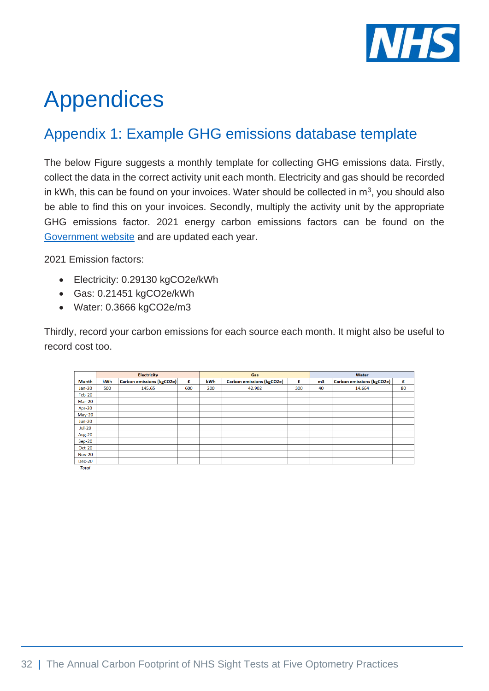

# <span id="page-31-0"></span>Appendices

# <span id="page-31-1"></span>Appendix 1: Example GHG emissions database template

The below Figure suggests a monthly template for collecting GHG emissions data. Firstly, collect the data in the correct activity unit each month. Electricity and gas should be recorded in kWh, this can be found on your invoices. Water should be collected in  $m<sup>3</sup>$ , you should also be able to find this on your invoices. Secondly, multiply the activity unit by the appropriate GHG emissions factor. 2021 energy carbon emissions factors can be found on the [Government website](https://www.gov.uk/government/publications/greenhouse-gas-reporting-conversion-factors-2021) and are updated each year.

2021 Emission factors:

- Electricity: 0.29130 kgCO2e/kWh
- Gas: 0.21451 kgCO2e/kWh
- Water: 0.3666 kgCO2e/m3

Thirdly, record your carbon emissions for each source each month. It might also be useful to record cost too.

|               | <b>Electricity</b> |                           |     |            | Gas                       |     | Water                           |        |    |
|---------------|--------------------|---------------------------|-----|------------|---------------------------|-----|---------------------------------|--------|----|
| <b>Month</b>  | kWh                | Carbon emissions (kgCO2e) | £   | <b>kWh</b> | Carbon emissions (kgCO2e) | £   | Carbon emissions (kgCO2e)<br>m3 |        | £  |
| $Jan-20$      | 500                | 145.65                    | 600 | 200        | 42.902                    | 300 | 40                              | 14.664 | 80 |
| Feb-20        |                    |                           |     |            |                           |     |                                 |        |    |
| <b>Mar-20</b> |                    |                           |     |            |                           |     |                                 |        |    |
| Apr-20        |                    |                           |     |            |                           |     |                                 |        |    |
| <b>May-20</b> |                    |                           |     |            |                           |     |                                 |        |    |
| $Jun-20$      |                    |                           |     |            |                           |     |                                 |        |    |
| <b>Jul-20</b> |                    |                           |     |            |                           |     |                                 |        |    |
| <b>Aug-20</b> |                    |                           |     |            |                           |     |                                 |        |    |
| $Sep-20$      |                    |                           |     |            |                           |     |                                 |        |    |
| <b>Oct-20</b> |                    |                           |     |            |                           |     |                                 |        |    |
| <b>Nov-20</b> |                    |                           |     |            |                           |     |                                 |        |    |
| <b>Dec-20</b> |                    |                           |     |            |                           |     |                                 |        |    |
| $T = 4 - 1$   |                    |                           |     |            |                           |     |                                 |        |    |

**Tota**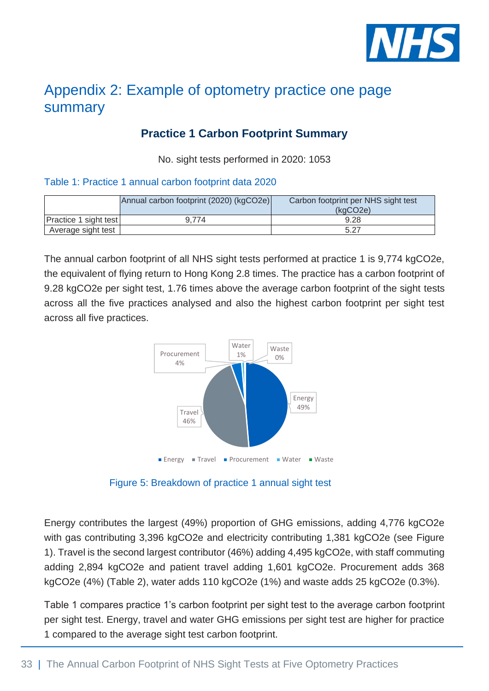

# <span id="page-32-0"></span>Appendix 2: Example of optometry practice one page summary

## **Practice 1 Carbon Footprint Summary**

No. sight tests performed in 2020: 1053

#### Table 1: Practice 1 annual carbon footprint data 2020

|                              | Annual carbon footprint (2020) (kgCO2e) | Carbon footprint per NHS sight test<br>(kaCO2e) |
|------------------------------|-----------------------------------------|-------------------------------------------------|
| <b>Practice 1 sight test</b> | 9.774                                   | 9.28                                            |
| Average sight test           |                                         | 5.27                                            |

The annual carbon footprint of all NHS sight tests performed at practice 1 is 9,774 kgCO2e, the equivalent of flying return to Hong Kong 2.8 times. The practice has a carbon footprint of 9.28 kgCO2e per sight test, 1.76 times above the average carbon footprint of the sight tests across all the five practices analysed and also the highest carbon footprint per sight test across all five practices.



Figure 5: Breakdown of practice 1 annual sight test

Energy contributes the largest (49%) proportion of GHG emissions, adding 4,776 kgCO2e with gas contributing 3,396 kgCO2e and electricity contributing 1,381 kgCO2e (see Figure 1). Travel is the second largest contributor (46%) adding 4,495 kgCO2e, with staff commuting adding 2,894 kgCO2e and patient travel adding 1,601 kgCO2e. Procurement adds 368 kgCO2e (4%) (Table 2), water adds 110 kgCO2e (1%) and waste adds 25 kgCO2e (0.3%).

Table 1 compares practice 1's carbon footprint per sight test to the average carbon footprint per sight test. Energy, travel and water GHG emissions per sight test are higher for practice 1 compared to the average sight test carbon footprint.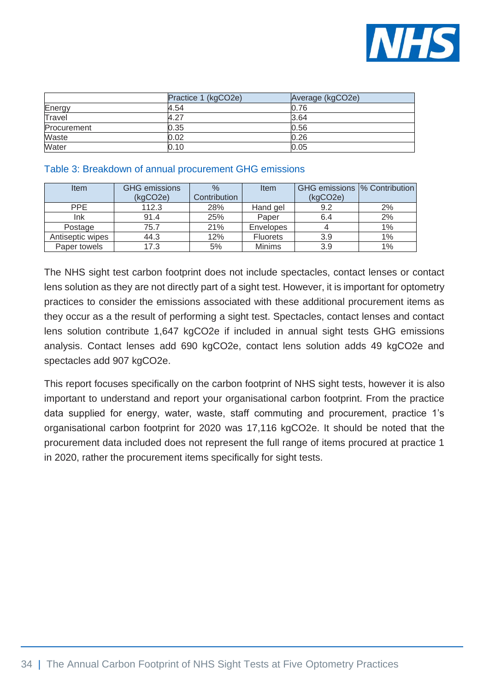

|               | Practice 1 (kgCO2e) | Average (kgCO2e) |
|---------------|---------------------|------------------|
| Energy        | 4.54                | 0.76             |
| <b>Travel</b> | 4.27                | 3.64             |
| Procurement   | 0.35                | 0.56             |
| Waste         | 0.02                | 0.26             |
| Water         | 0.10                | 0.05             |

#### Table 3: Breakdown of annual procurement GHG emissions

| Item             | <b>GHG</b> emissions | $\frac{0}{0}$ | Item            | GHG emissions  % Contribution |       |
|------------------|----------------------|---------------|-----------------|-------------------------------|-------|
|                  | (kqCO2e)             | Contribution  |                 | (kqCO2e)                      |       |
| <b>PPE</b>       | 112.3                | 28%           | Hand gel        | 9.2                           | 2%    |
| Ink              | 91.4                 | 25%           | Paper           | 6.4                           | 2%    |
| Postage          | 75.7                 | 21%           | Envelopes       |                               | $1\%$ |
| Antiseptic wipes | 44.3                 | 12%           | <b>Fluorets</b> | 3.9                           | 1%    |
| Paper towels     | 17.3                 | 5%            | <b>Minims</b>   | 3.9                           | 1%    |

The NHS sight test carbon footprint does not include spectacles, contact lenses or contact lens solution as they are not directly part of a sight test. However, it is important for optometry practices to consider the emissions associated with these additional procurement items as they occur as a the result of performing a sight test. Spectacles, contact lenses and contact lens solution contribute 1,647 kgCO2e if included in annual sight tests GHG emissions analysis. Contact lenses add 690 kgCO2e, contact lens solution adds 49 kgCO2e and spectacles add 907 kgCO2e.

This report focuses specifically on the carbon footprint of NHS sight tests, however it is also important to understand and report your organisational carbon footprint. From the practice data supplied for energy, water, waste, staff commuting and procurement, practice 1's organisational carbon footprint for 2020 was 17,116 kgCO2e. It should be noted that the procurement data included does not represent the full range of items procured at practice 1 in 2020, rather the procurement items specifically for sight tests.